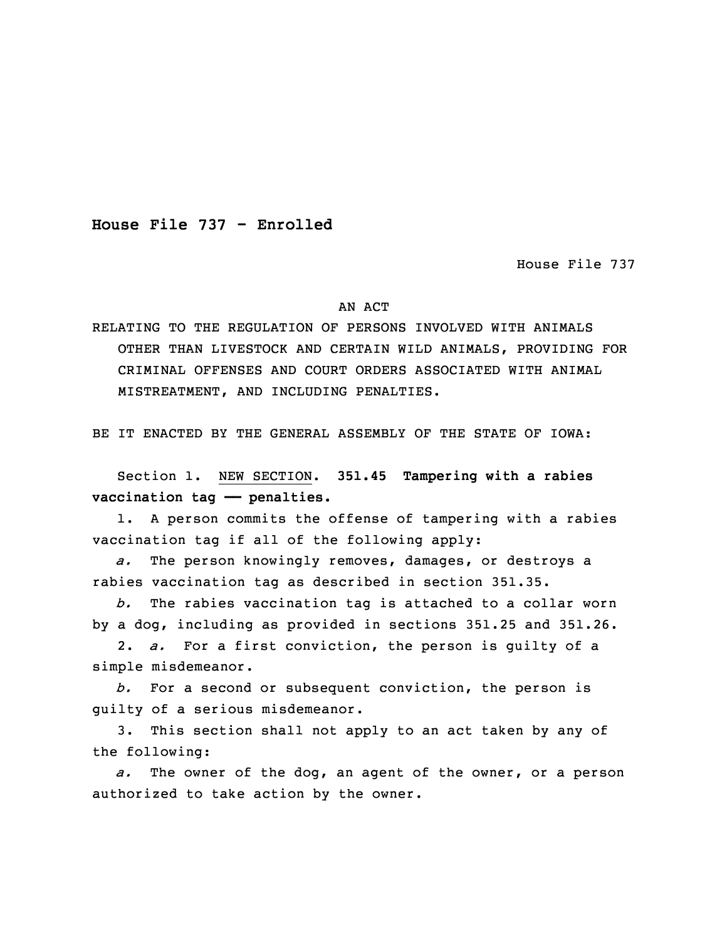**House File 737 - Enrolled**

House File 737

## AN ACT

RELATING TO THE REGULATION OF PERSONS INVOLVED WITH ANIMALS OTHER THAN LIVESTOCK AND CERTAIN WILD ANIMALS, PROVIDING FOR CRIMINAL OFFENSES AND COURT ORDERS ASSOCIATED WITH ANIMAL MISTREATMENT, AND INCLUDING PENALTIES.

BE IT ENACTED BY THE GENERAL ASSEMBLY OF THE STATE OF IOWA:

 Section 1. NEW SECTION. **351.45 Tampering with <sup>a</sup> rabies vaccination tag —— penalties.**

1. A person commits the offense of tampering with a rabies vaccination tag if all of the following apply:

5 *a.* The person knowingly removes, damages, or destroys <sup>a</sup> rabies vaccination tag as described in section 351.35.

7 *b.* The rabies vaccination tag is attached to <sup>a</sup> collar worn by a dog, including as provided in sections 351.25 and 351.26.

9 2. *a.* For <sup>a</sup> first conviction, the person is guilty of <sup>a</sup> simple misdemeanor.

 *b.* For <sup>a</sup> second or subsequent conviction, the person is guilty of <sup>a</sup> serious misdemeanor.

3. This section shall not apply to an act taken by any of the following:

a. The owner of the dog, an agent of the owner, or a person authorized to take action by the owner.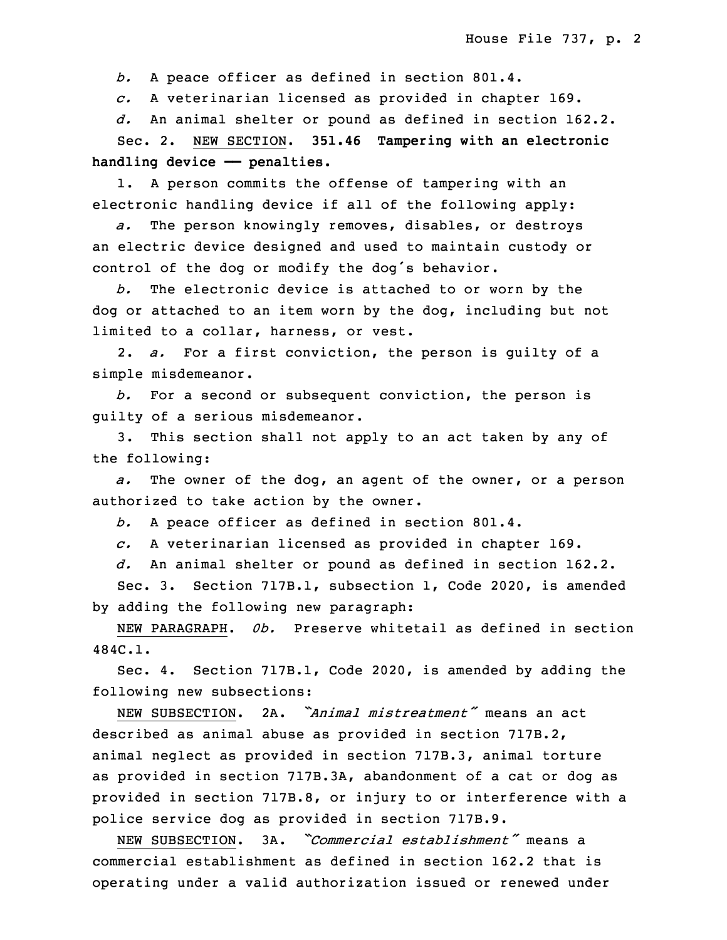b. A peace officer as defined in section 801.4.

18 *c.* <sup>A</sup> veterinarian licensed as provided in chapter 169.

d. An animal shelter or pound as defined in section 162.2.

20 Sec. 2. NEW SECTION. **351.46 Tampering with an electronic handling device —— penalties.**

 1. <sup>A</sup> person commits the offense of tampering with an electronic handling device if all of the following apply:

 *a.* The person knowingly removes, disables, or destroys an electric device designed and used to maintain custody or control of the dog or modify the dog's behavior.

b. The electronic device is attached to or worn by the dog or attached to an item worn by the dog, including but not limited to a collar, harness, or vest.

30 2. *a.* For <sup>a</sup> first conviction, the person is guilty of <sup>a</sup> simple misdemeanor.

32 *b.* For <sup>a</sup> second or subsequent conviction, the person is quilty of a serious misdemeanor.

3. This section shall not apply to an act taken by any of the following:

 *a.* The owner of the dog, an agent of the owner, or <sup>a</sup> person authorized to take action by the owner.

b. A peace officer as defined in section 801.4.

*c.* <sup>A</sup> veterinarian licensed as provided in chapter 169.

5 *d.* An animal shelter or pound as defined in section 162.2.

6 Sec. 3. Section 717B.1, subsection 1, Code 2020, is amended by adding the following new paragraph:

NEW PARAGRAPH. Ob. Preserve whitetail as defined in section 9 484C.1.

Sec. 4. Section 717B.1, Code 2020, is amended by adding the following new subsections:

 NEW SUBSECTION. 2A. *"Animal mistreatment"* means an act described as animal abuse as provided in section 717B.2, animal neglect as provided in section 717B.3, animal torture as provided in section 717B.3A, abandonment of a cat or dog as provided in section 717B.8, or injury to or interference with a police service dog as provided in section 717B.9.

18 NEW SUBSECTION. 3A. *"Commercial establishment"* means <sup>a</sup> commercial establishment as defined in section 162.2 that is 20 operating under <sup>a</sup> valid authorization issued or renewed under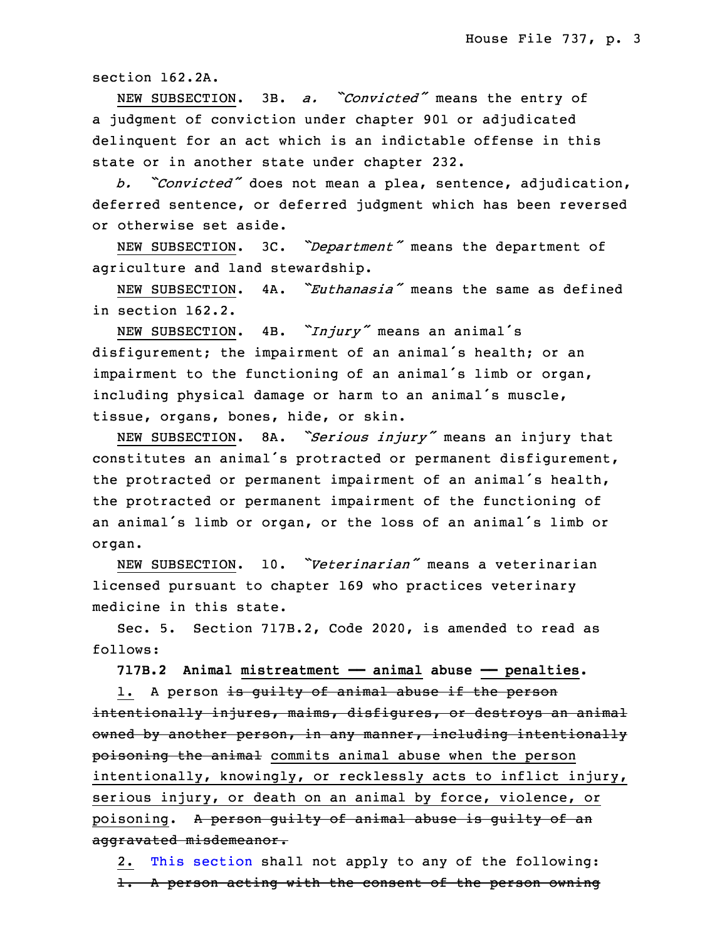section 162.2A.

 NEW SUBSECTION. 3B. *a. "Convicted"* means the entry of a judgment of conviction under chapter 901 or adjudicated delinquent for an act which is an indictable offense in this state or in another state under chapter 232.

<sup>26</sup> *b. "Convicted"* does not mean <sup>a</sup> plea, sentence, adjudication, deferred sentence, or deferred judgment which has been reversed or otherwise set aside.

NEW SUBSECTION. 3C. "Department" means the department of agriculture and land stewardship.

NEW SUBSECTION. 4A. "*Euthanasia"* means the same as defined in section 162.2.

NEW SUBSECTION. 4B. "*Injury"* means an animal's disfigurement; the impairment of an animal's health; or an impairment to the functioning of an animal's limb or organ, including physical damage or harm to an animal's muscle, tissue, organs, bones, hide, or skin.

<sup>3</sup> NEW SUBSECTION. 8A. *"Serious injury"* means an injury that constitutes an animal's protracted or permanent disfigurement, the protracted or permanent impairment of an animal's health, the protracted or permanent impairment of the functioning of an animal's limb or organ, or the loss of an animal's limb or organ.

9 NEW SUBSECTION. 10. *"Veterinarian"* means <sup>a</sup> veterinarian licensed pursuant to chapter 169 who practices veterinary medicine in this state.

 Sec. 5. Section 717B.2, Code 2020, is amended to read as follows:

**717B.2 Animal mistreatment —— animal abuse —— penalties.**

1. A person is guilty of animal abuse if the person intentionally injures, maims, disfigures, or destroys an animal owned by another person, in any manner, including intentionally poisoning the animal commits animal abuse when the person intentionally, knowingly, or recklessly acts to inflict injury, serious injury, or death on an animal by force, violence, or poisoning. A person guilty of animal abuse is guilty of an aggravated misdemeanor.

2. This [section](https://www.legis.iowa.gov/docs/code/2020/717B.2.pdf) shall not apply to any of the following: 1. <sup>A</sup> person acting with the consent of the person owning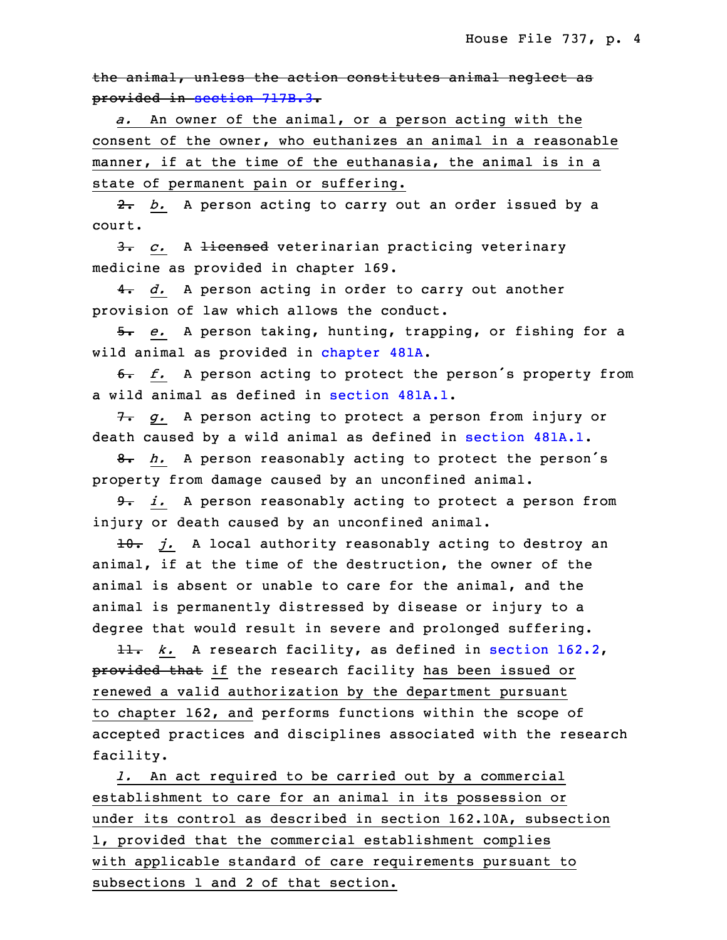the animal, unless the action constitutes animal neglect as provided in [section](https://www.legis.iowa.gov/docs/code/2020/717B.3.pdf) 717B.3.

a. An owner of the animal, or a person acting with the consent of the owner, who euthanizes an animal in a reasonable manner, if at the time of the euthanasia, the animal is in a state of permanent pain or suffering.

2. *b.* A person acting to carry out an order issued by a court.

3. *c.* A licensed veterinarian practicing veterinary medicine as provided in chapter 169.

4. *d.* A person acting in order to carry out another provision of law which allows the conduct.

 5. *e.* <sup>A</sup> person taking, hunting, trapping, or fishing for <sup>a</sup> wild animal as provided in [chapter](https://www.legis.iowa.gov/docs/code/2020/481A.pdf) 481A.

 6. *f.* <sup>A</sup> person acting to protect the person's property from a wild animal as defined in [section](https://www.legis.iowa.gov/docs/code/2020/481A.1.pdf) 481A.1.

7. g. A person acting to protect a person from injury or death caused by a wild animal as defined in [section](https://www.legis.iowa.gov/docs/code/2020/481A.1.pdf) 481A.1.

8. *h.* A person reasonably acting to protect the person's property from damage caused by an unconfined animal.

9. *i.* A person reasonably acting to protect a person from injury or death caused by an unconfined animal.

 10. *j.* <sup>A</sup> local authority reasonably acting to destroy an animal, if at the time of the destruction, the owner of the animal is absent or unable to care for the animal, and the animal is permanently distressed by disease or injury to a degree that would result in severe and prolonged suffering.

11. *k.* A research facility, as defined in [section](https://www.legis.iowa.gov/docs/code/2020/162.2.pdf) 162.2, provided that if the research facility has been issued or renewed a valid authorization by the department pursuant to chapter 162, and performs functions within the scope of accepted practices and disciplines associated with the research facility.

1. An act required to be carried out by a commercial establishment to care for an animal in its possession or under its control as described in section 162.10A, subsection 1, provided that the commercial establishment complies with applicable standard of care requirements pursuant to subsections 1 and 2 of that section.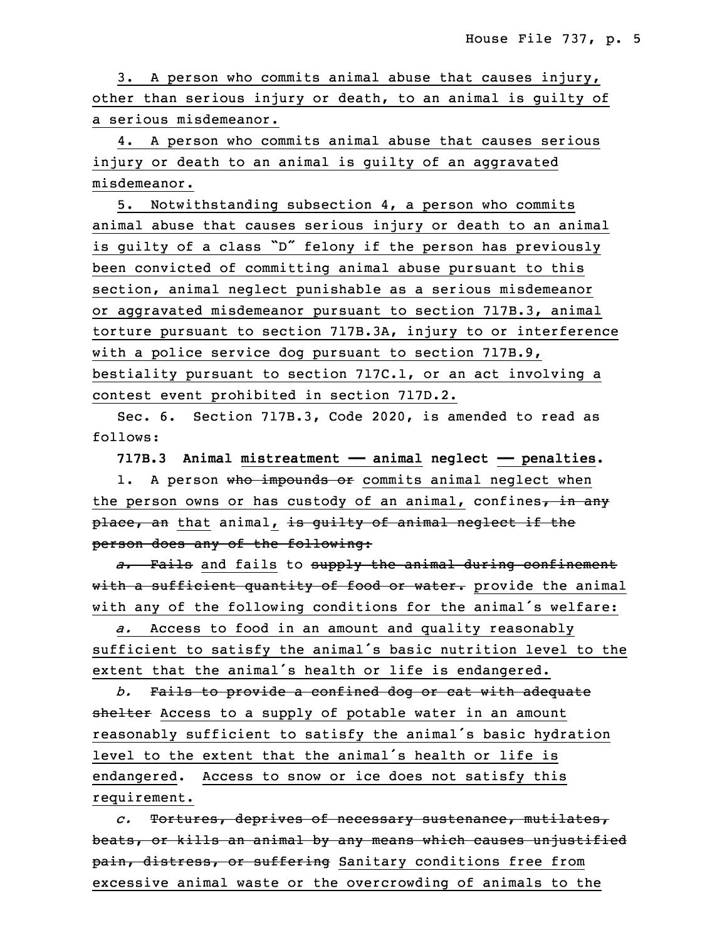3. A person who commits animal abuse that causes injury, other than serious injury or death, to an animal is quilty of a serious misdemeanor.

4. A person who commits animal abuse that causes serious injury or death to an animal is guilty of an aggravated misdemeanor.

35 5. Notwithstanding subsection 4, <sup>a</sup> person who commits animal abuse that causes serious injury or death to an animal is quilty of a class "D" felony if the person has previously been convicted of committing animal abuse pursuant to this section, animal neglect punishable as <sup>a</sup> serious misdemeanor or aggravated misdemeanor pursuant to section 717B.3, animal 6 torture pursuant to section 717B.3A, injury to or interference with a police service dog pursuant to section 717B.9, bestiality pursuant to section  $717C.1$ , or an act involving a contest event prohibited in section 717D.2.

Sec. 6. Section 717B.3, Code 2020, is amended to read as follows:

**717B.3 Animal mistreatment —— animal neglect —— penalties.**

1. A person who impounds or commits animal neglect when the person owns or has custody of an animal, confines, in any place, an that animal, is guilty of animal neglect if the person does any of the following:

a. Fails and fails to supply the animal during confinement with a sufficient quantity of food or water. provide the animal with any of the following conditions for the animal's welfare:

a. Access to food in an amount and quality reasonably sufficient to satisfy the animal's basic nutrition level to the extent that the animal's health or life is endangered.

23 *b.* Fails to provide <sup>a</sup> confined dog or cat with adequate shelter Access to a supply of potable water in an amount reasonably sufficient to satisfy the animal's basic hydration level to the extent that the animal's health or life is endangered. Access to snow or ice does not satisfy this requirement.

29 *c.* Tortures, deprives of necessary sustenance, mutilates, beats, or kills an animal by any means which causes unjustified pain, distress, or suffering Sanitary conditions free from excessive animal waste or the overcrowding of animals to the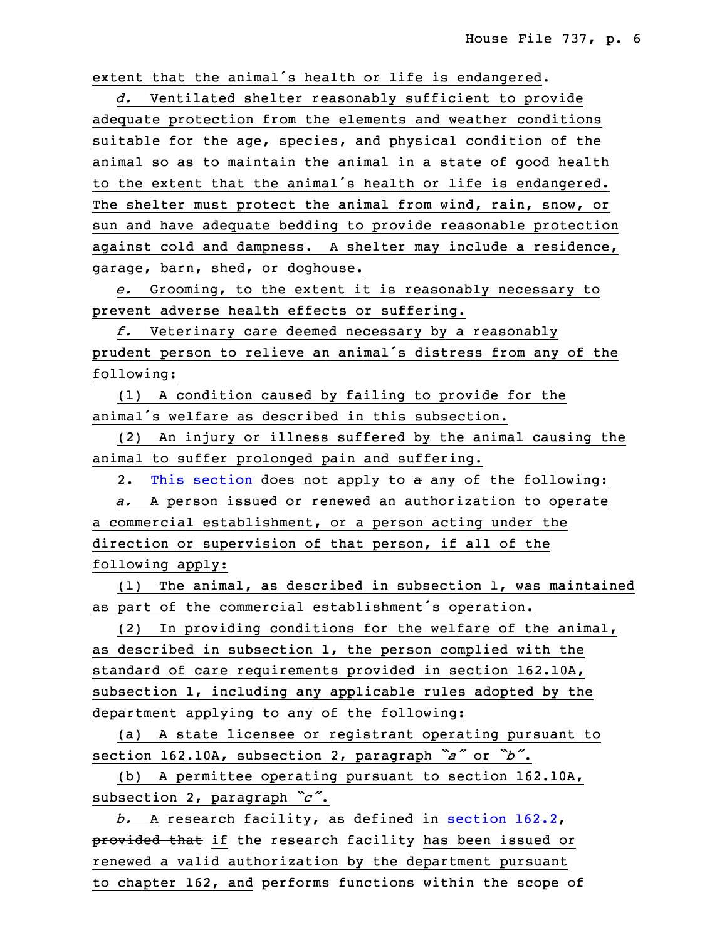extent that the animal's health or life is endangered.

34 *d.* Ventilated shelter reasonably sufficient to provide adequate protection from the elements and weather conditions suitable for the age, species, and physical condition of the animal so as to maintain the animal in <sup>a</sup> state of good health to the extent that the animal's health or life is endangered. The shelter must protect the animal from wind, rain, snow, or sun and have adequate bedding to provide reasonable protection against cold and dampness. A shelter may include a residence, garage, barn, shed, or doghouse.

8 *e.* Grooming, to the extent it is reasonably necessary to prevent adverse health effects or suffering.

f. Veterinary care deemed necessary by a reasonably prudent person to relieve an animal's distress from any of the following:

13 (1) <sup>A</sup> condition caused by failing to provide for the animal's welfare as described in this subsection.

(2) An injury or illness suffered by the animal causing the animal to suffer prolonged pain and suffering.

2. This [section](https://www.legis.iowa.gov/docs/code/2020/717B.3.pdf) does not apply to a any of the following:

a. A person issued or renewed an authorization to operate a commercial establishment, or a person acting under the direction or supervision of that person, if all of the following apply:

 (1) The animal, as described in subsection 1, was maintained as part of the commercial establishment's operation.

 (2) In providing conditions for the welfare of the animal, as described in subsection 1, the person complied with the standard of care requirements provided in section 162.10A, subsection  $1$ , including any applicable rules adopted by the department applying to any of the following:

(a) A state licensee or registrant operating pursuant to <sup>30</sup> section 162.10A, subsection 2, paragraph *"a"* or *"b"*.

(b) A permittee operating pursuant to section 162.10A, subsection 2, paragraph  $\degree c$ .

b. A research facility, as defined in [section](https://www.legis.iowa.gov/docs/code/2020/162.2.pdf) 162.2, provided that if the research facility has been issued or renewed a valid authorization by the department pursuant to chapter 162, and performs functions within the scope of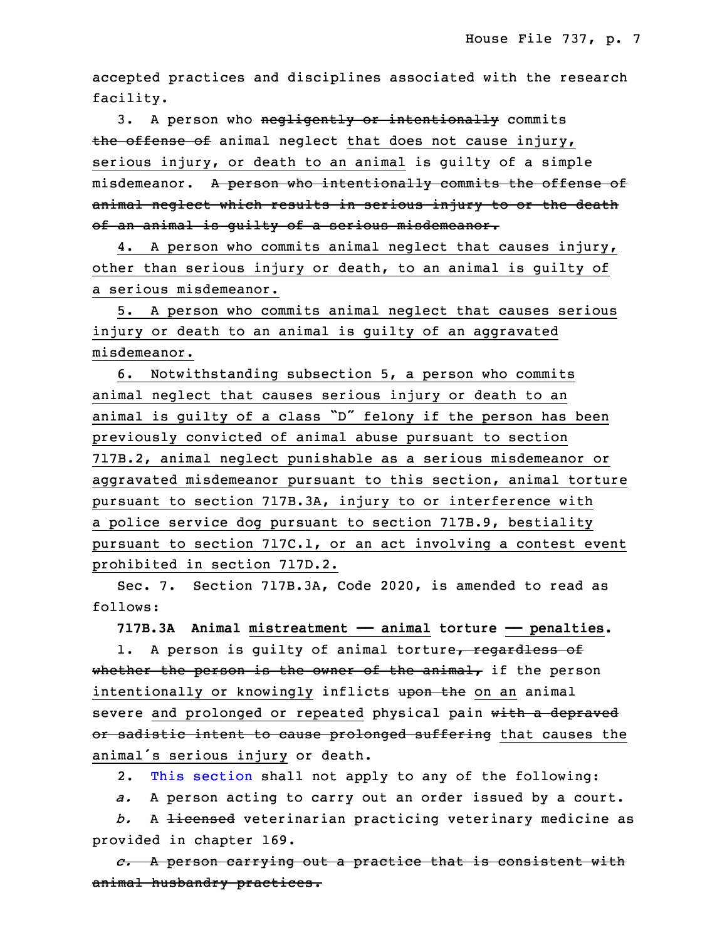accepted practices and disciplines associated with the research facility.

3. A person who negligently or intentionally commits the offense of animal neglect that does not cause injury, serious injury, or death to an animal is guilty of a simple misdemeanor. A person who intentionally commits the offense of animal neglect which results in serious injury to or the death of an animal is guilty of a serious misdemeanor.

4. A person who commits animal neglect that causes injury, other than serious injury or death, to an animal is guilty of <sup>a</sup> serious misdemeanor.

5. A person who commits animal neglect that causes serious injury or death to an animal is guilty of an aggravated misdemeanor.

6. Notwithstanding subsection 5, a person who commits animal neglect that causes serious injury or death to an animal is guilty of a class "D" felony if the person has been previously convicted of animal abuse pursuant to section 717B.2, animal neglect punishable as a serious misdemeanor or aggravated misdemeanor pursuant to this section, animal torture pursuant to section 717B.3A, injury to or interference with a police service dog pursuant to section 717B.9, bestiality pursuant to section 717C.1, or an act involving <sup>a</sup> contest event 25 prohibited in section 717D.2.

Sec. 7. Section 717B.3A, Code 2020, is amended to read as follows:

28 **717B.3A Animal mistreatment —— animal torture —— penalties.**

1. A person is quilty of animal torture, regardless of whether the person is the owner of the animal, if the person intentionally or knowingly inflicts upon the on an animal severe and prolonged or repeated physical pain with a depraved or sadistic intent to cause prolonged suffering that causes the animal's serious injury or death.

2. This [section](https://www.legis.iowa.gov/docs/code/2020/717B.3A.pdf) shall not apply to any of the following:

*a.* <sup>A</sup> person acting to carry out an order issued by <sup>a</sup> court.

b. A licensed veterinarian practicing veterinary medicine as provided in chapter 169.

 *c.* <sup>A</sup> person carrying out <sup>a</sup> practice that is consistent with animal husbandry practices.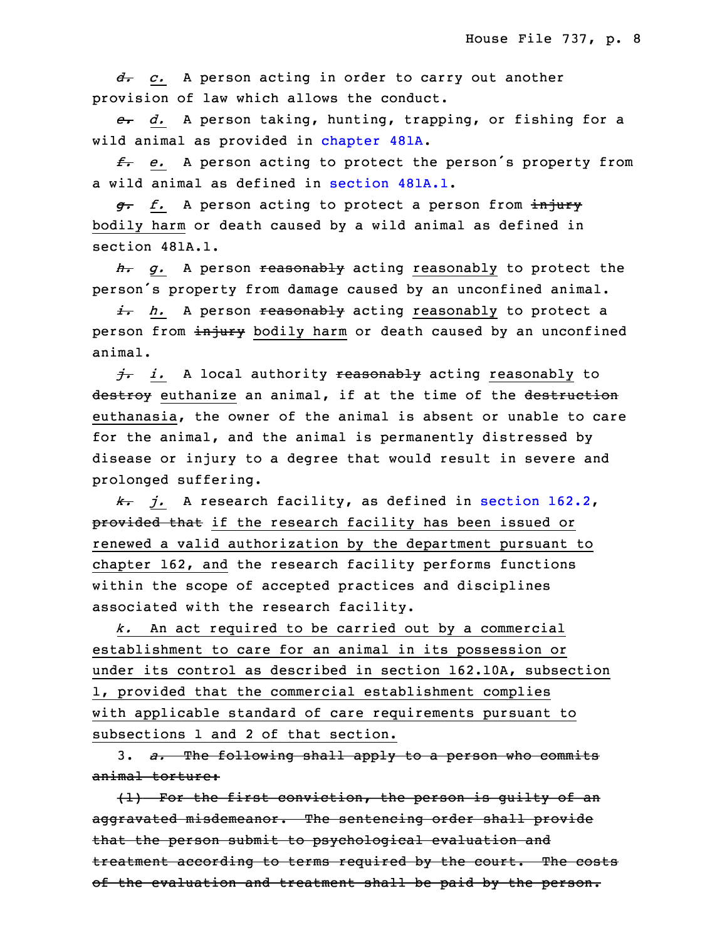6 *d. c.* <sup>A</sup> person acting in order to carry out another provision of law which allows the conduct.

8 *e. d.* <sup>A</sup> person taking, hunting, trapping, or fishing for <sup>a</sup> wild animal as provided in [chapter](https://www.legis.iowa.gov/docs/code/2020/481A.pdf) 481A.

<sup>10</sup> *f. e.* <sup>A</sup> person acting to protect the person's property from <sup>a</sup> wild animal as defined in [section](https://www.legis.iowa.gov/docs/code/2020/481A.1.pdf) 481A.1.

 *g. f.* <sup>A</sup> person acting to protect <sup>a</sup> person from injury bodily harm or death caused by a wild animal as defined in section 481A.1.

15 *h. g.* <sup>A</sup> person reasonably acting reasonably to protect the person's property from damage caused by an unconfined animal.

17 *i. h.* <sup>A</sup> person reasonably acting reasonably to protect <sup>a</sup> person from injury bodily harm or death caused by an unconfined animal.

20 *j. i.* <sup>A</sup> local authority reasonably acting reasonably to destroy euthanize an animal, if at the time of the destruction euthanasia, the owner of the animal is absent or unable to care for the animal, and the animal is permanently distressed by disease or injury to <sup>a</sup> degree that would result in severe and prolonged suffering.

26 *k. j.* <sup>A</sup> research facility, as defined in [section](https://www.legis.iowa.gov/docs/code/2020/162.2.pdf) 162.2, provided that if the research facility has been issued or renewed a valid authorization by the department pursuant to chapter 162, and the research facility performs functions within the scope of accepted practices and disciplines associated with the research facility.

32 *k.* An act required to be carried out by <sup>a</sup> commercial establishment to care for an animal in its possession or under its control as described in section 162.10A, subsection 1, provided that the commercial establishment complies with applicable standard of care requirements pursuant to subsections 1 and 2 of that section.

3 3. *a.* The following shall apply to <sup>a</sup> person who commits animal torture:

 $\{1\}$  For the first conviction, the person is guilty of an aggravated misdemeanor. The sentencing order shall provide that the person submit to psychological evaluation and treatment according to terms required by the court. The costs of the evaluation and treatment shall be paid by the person.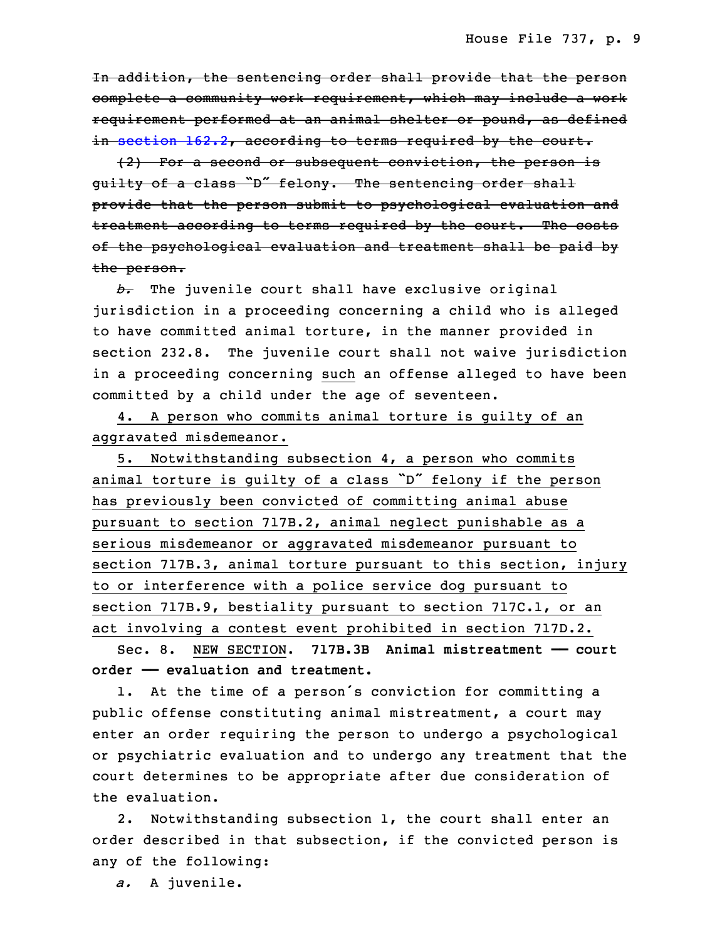In addition, the sentencing order shall provide that the person complete <sup>a</sup> community work requirement, which may include <sup>a</sup> work requirement performed at an animal shelter or pound, as defined in [section](https://www.legis.iowa.gov/docs/code/2020/162.2.pdf)  $162.2$ , according to terms required by the court.

 (2) For <sup>a</sup> second or subsequent conviction, the person is guilty of a class "D" felony. The sentencing order shall provide that the person submit to psychological evaluation and treatment according to terms required by the court. The costs of the psychological evaluation and treatment shall be paid by the person.

b. The juvenile court shall have exclusive original jurisdiction in <sup>a</sup> proceeding concerning <sup>a</sup> child who is alleged to have committed animal torture, in the manner provided in section 232.8. The juvenile court shall not waive jurisdiction in <sup>a</sup> proceeding concerning such an offense alleged to have been committed by a child under the age of seventeen.

4. A person who commits animal torture is guilty of an aggravated misdemeanor.

5. Notwithstanding subsection 4, a person who commits animal torture is guilty of a class "D" felony if the person has previously been convicted of committing animal abuse pursuant to section 717B.2, animal neglect punishable as a serious misdemeanor or aggravated misdemeanor pursuant to section 717B.3, animal torture pursuant to this section, injury to or interference with a police service dog pursuant to section 717B.9, bestiality pursuant to section 717C.1, or an act involving <sup>a</sup> contest event prohibited in section 717D.2.

 Sec. 8. NEW SECTION. **717B.3B Animal mistreatment —— court** 3 **order —— evaluation and treatment.**

 1. At the time of <sup>a</sup> person's conviction for committing <sup>a</sup> public offense constituting animal mistreatment, a court may enter an order requiring the person to undergo a psychological 7 or psychiatric evaluation and to undergo any treatment that the court determines to be appropriate after due consideration of the evaluation.

2. Notwithstanding subsection 1, the court shall enter an order described in that subsection, if the convicted person is any of the following:

a. A juvenile.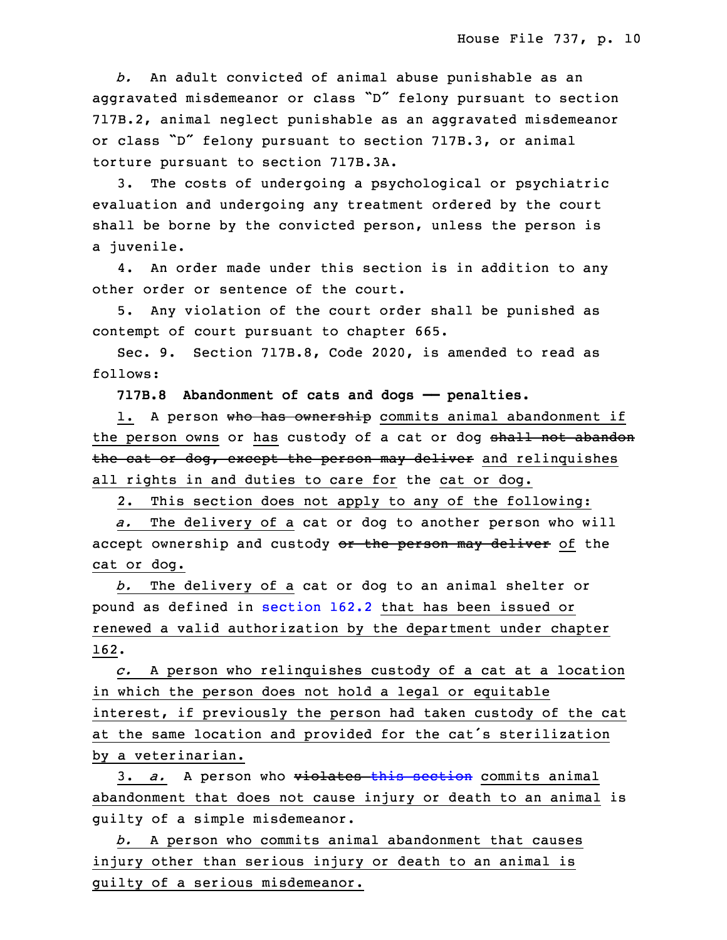*b.* An adult convicted of animal abuse punishable as an aggravated misdemeanor or class "D" felony pursuant to section 717B.2, animal neglect punishable as an aggravated misdemeanor or class "D" felony pursuant to section 717B.3, or animal torture pursuant to section 717B.3A.

3. The costs of undergoing a psychological or psychiatric evaluation and undergoing any treatment ordered by the court shall be borne by the convicted person, unless the person is <sup>a</sup> juvenile.

4. An order made under this section is in addition to any other order or sentence of the court.

5. Any violation of the court order shall be punished as contempt of court pursuant to chapter 665.

Sec. 9. Section 717B.8, Code 2020, is amended to read as follows:

29 **717B.8 Abandonment of cats and dogs —— penalties.**

1. A person who has ownership commits animal abandonment if the person owns or has custody of a cat or dog shall not abandon the cat or dog, except the person may deliver and relinquishes all rights in and duties to care for the cat or dog.

2. This section does not apply to any of the following:

35 *a.* The delivery of <sup>a</sup> cat or dog to another person who will accept ownership and custody or the person may deliver of the cat or dog.

3 *b.* The delivery of <sup>a</sup> cat or dog to an animal shelter or pound as defined in [section](https://www.legis.iowa.gov/docs/code/2020/162.2.pdf) 162.2 that has been issued or renewed a valid authorization by the department under chapter 6 162.

7 *c.* <sup>A</sup> person who relinquishes custody of <sup>a</sup> cat at <sup>a</sup> location in which the person does not hold a legal or equitable interest, if previously the person had taken custody of the cat at the same location and provided for the cat's sterilization by <sup>a</sup> veterinarian.

 3. *a.* <sup>A</sup> person who violates this [section](https://www.legis.iowa.gov/docs/code/2020/717B.8.pdf) commits animal abandonment that does not cause injury or death to an animal is guilty of <sup>a</sup> simple misdemeanor.

15 *b.* <sup>A</sup> person who commits animal abandonment that causes injury other than serious injury or death to an animal is guilty of a serious misdemeanor.